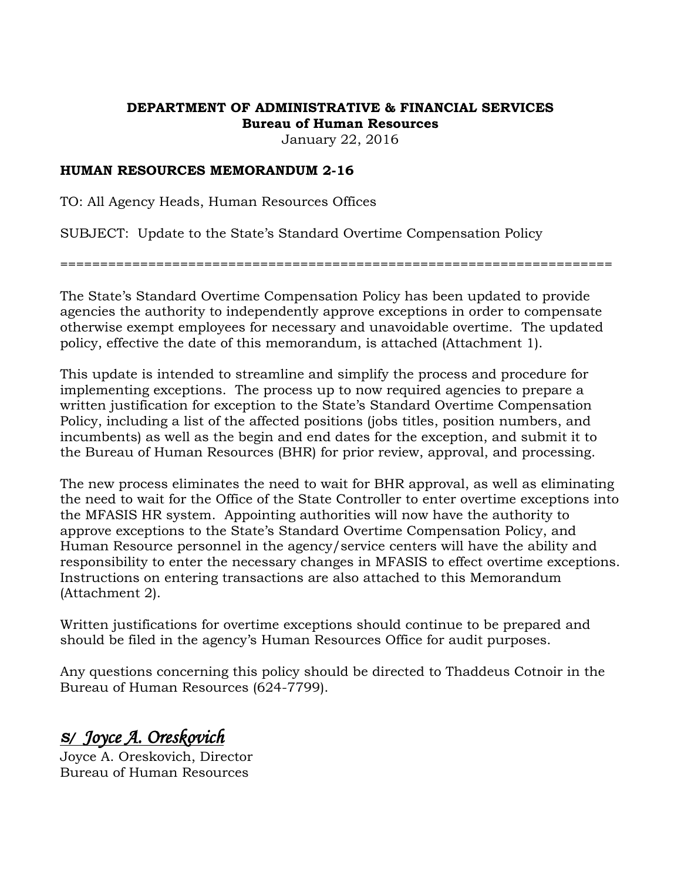# **DEPARTMENT OF ADMINISTRATIVE & FINANCIAL SERVICES Bureau of Human Resources**

January 22, 2016

## **HUMAN RESOURCES MEMORANDUM 2-16**

TO: All Agency Heads, Human Resources Offices

SUBJECT: Update to the State's Standard Overtime Compensation Policy

=====================================================================

The State's Standard Overtime Compensation Policy has been updated to provide agencies the authority to independently approve exceptions in order to compensate otherwise exempt employees for necessary and unavoidable overtime. The updated policy, effective the date of this memorandum, is attached (Attachment 1).

This update is intended to streamline and simplify the process and procedure for implementing exceptions. The process up to now required agencies to prepare a written justification for exception to the State's Standard Overtime Compensation Policy, including a list of the affected positions (jobs titles, position numbers, and incumbents) as well as the begin and end dates for the exception, and submit it to the Bureau of Human Resources (BHR) for prior review, approval, and processing.

The new process eliminates the need to wait for BHR approval, as well as eliminating the need to wait for the Office of the State Controller to enter overtime exceptions into the MFASIS HR system. Appointing authorities will now have the authority to approve exceptions to the State's Standard Overtime Compensation Policy, and Human Resource personnel in the agency/service centers will have the ability and responsibility to enter the necessary changes in MFASIS to effect overtime exceptions. Instructions on entering transactions are also attached to this Memorandum (Attachment 2).

Written justifications for overtime exceptions should continue to be prepared and should be filed in the agency's Human Resources Office for audit purposes.

Any questions concerning this policy should be directed to Thaddeus Cotnoir in the Bureau of Human Resources (624-7799).

# *S/ Joyce A. Oreskovich*

Joyce A. Oreskovich, Director Bureau of Human Resources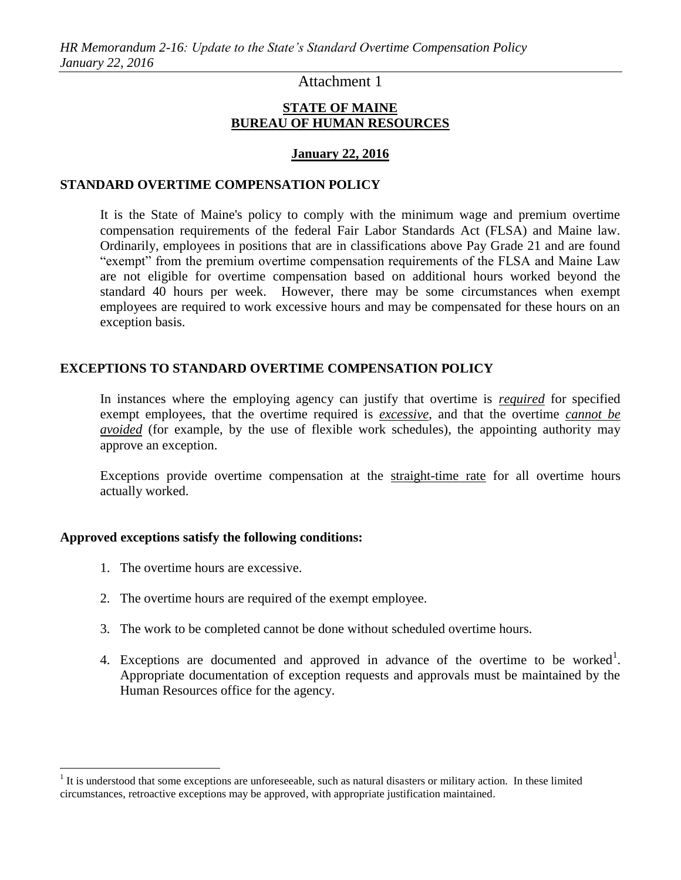# Attachment 1

### **STATE OF MAINE BUREAU OF HUMAN RESOURCES**

#### **January 22, 2016**

#### **STANDARD OVERTIME COMPENSATION POLICY**

It is the State of Maine's policy to comply with the minimum wage and premium overtime compensation requirements of the federal Fair Labor Standards Act (FLSA) and Maine law. Ordinarily, employees in positions that are in classifications above Pay Grade 21 and are found "exempt" from the premium overtime compensation requirements of the FLSA and Maine Law are not eligible for overtime compensation based on additional hours worked beyond the standard 40 hours per week. However, there may be some circumstances when exempt employees are required to work excessive hours and may be compensated for these hours on an exception basis.

#### **EXCEPTIONS TO STANDARD OVERTIME COMPENSATION POLICY**

In instances where the employing agency can justify that overtime is *required* for specified exempt employees, that the overtime required is *excessive*, and that the overtime *cannot be avoided* (for example, by the use of flexible work schedules), the appointing authority may approve an exception.

Exceptions provide overtime compensation at the straight-time rate for all overtime hours actually worked.

#### **Approved exceptions satisfy the following conditions:**

1. The overtime hours are excessive.

 $\overline{a}$ 

- 2. The overtime hours are required of the exempt employee.
- 3. The work to be completed cannot be done without scheduled overtime hours.
- 4. Exceptions are documented and approved in advance of the overtime to be worked<sup>1</sup>. Appropriate documentation of exception requests and approvals must be maintained by the Human Resources office for the agency.

 $<sup>1</sup>$  It is understood that some exceptions are unforeseeable, such as natural disasters or military action. In these limited</sup> circumstances, retroactive exceptions may be approved, with appropriate justification maintained.